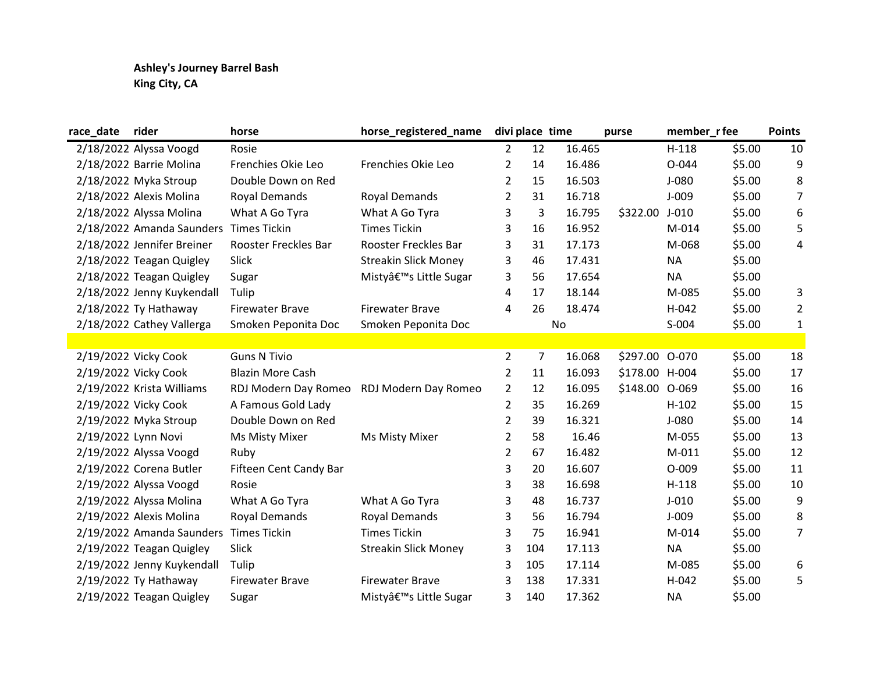## Ashley's Journey Barrel Bash King City, CA

| race_date           | rider                      | horse                   | horse_registered_name               |                | divi place time |        | purse          | member_r fee |        | <b>Points</b>  |
|---------------------|----------------------------|-------------------------|-------------------------------------|----------------|-----------------|--------|----------------|--------------|--------|----------------|
|                     | 2/18/2022 Alyssa Voogd     | Rosie                   |                                     | $\overline{2}$ | 12              | 16.465 |                | $H-118$      | \$5.00 | 10             |
|                     | 2/18/2022 Barrie Molina    | Frenchies Okie Leo      | Frenchies Okie Leo                  | $\overline{2}$ | 14              | 16.486 |                | $O - 044$    | \$5.00 | 9              |
|                     | 2/18/2022 Myka Stroup      | Double Down on Red      |                                     | $\overline{2}$ | 15              | 16.503 |                | $J-080$      | \$5.00 | 8              |
|                     | 2/18/2022 Alexis Molina    | <b>Royal Demands</b>    | <b>Royal Demands</b>                | $\overline{2}$ | 31              | 16.718 |                | $J-009$      | \$5.00 | $\overline{7}$ |
|                     | 2/18/2022 Alyssa Molina    | What A Go Tyra          | What A Go Tyra                      | 3              | 3               | 16.795 | \$322.00       | $J-010$      | \$5.00 | 6              |
|                     | 2/18/2022 Amanda Saunders  | <b>Times Tickin</b>     | <b>Times Tickin</b>                 | 3              | 16              | 16.952 |                | M-014        | \$5.00 | 5              |
|                     | 2/18/2022 Jennifer Breiner | Rooster Freckles Bar    | Rooster Freckles Bar                | 3              | 31              | 17.173 |                | M-068        | \$5.00 | 4              |
|                     | 2/18/2022 Teagan Quigley   | Slick                   | <b>Streakin Slick Money</b>         | 3              | 46              | 17.431 |                | <b>NA</b>    | \$5.00 |                |
|                     | 2/18/2022 Teagan Quigley   | Sugar                   | Misty's Little Sugar                | 3              | 56              | 17.654 |                | <b>NA</b>    | \$5.00 |                |
|                     | 2/18/2022 Jenny Kuykendall | Tulip                   |                                     | 4              | 17              | 18.144 |                | M-085        | \$5.00 | 3              |
|                     | 2/18/2022 Ty Hathaway      | <b>Firewater Brave</b>  | <b>Firewater Brave</b>              | 4              | 26              | 18.474 |                | H-042        | \$5.00 | $\overline{2}$ |
|                     | 2/18/2022 Cathey Vallerga  | Smoken Peponita Doc     | Smoken Peponita Doc                 |                |                 | No     |                | S-004        | \$5.00 | $\mathbf 1$    |
|                     |                            |                         |                                     |                |                 |        |                |              |        |                |
|                     | 2/19/2022 Vicky Cook       | <b>Guns N Tivio</b>     |                                     | $\overline{2}$ | 7               | 16.068 | \$297.00 0-070 |              | \$5.00 | 18             |
|                     | 2/19/2022 Vicky Cook       | <b>Blazin More Cash</b> |                                     | $\overline{2}$ | 11              | 16.093 | \$178.00 H-004 |              | \$5.00 | 17             |
|                     | 2/19/2022 Krista Williams  | RDJ Modern Day Romeo    | RDJ Modern Day Romeo                | $\overline{2}$ | 12              | 16.095 | \$148.00       | O-069        | \$5.00 | 16             |
|                     | 2/19/2022 Vicky Cook       | A Famous Gold Lady      |                                     | $\overline{2}$ | 35              | 16.269 |                | $H-102$      | \$5.00 | 15             |
|                     | 2/19/2022 Myka Stroup      | Double Down on Red      |                                     | $\overline{2}$ | 39              | 16.321 |                | $J-080$      | \$5.00 | 14             |
| 2/19/2022 Lynn Novi |                            | Ms Misty Mixer          | Ms Misty Mixer                      | $\overline{2}$ | 58              | 16.46  |                | M-055        | \$5.00 | 13             |
|                     | 2/19/2022 Alyssa Voogd     | Ruby                    |                                     | $\overline{2}$ | 67              | 16.482 |                | M-011        | \$5.00 | 12             |
|                     | 2/19/2022 Corena Butler    | Fifteen Cent Candy Bar  |                                     | 3              | 20              | 16.607 |                | $O-009$      | \$5.00 | 11             |
|                     | 2/19/2022 Alyssa Voogd     | Rosie                   |                                     | 3              | 38              | 16.698 |                | $H-118$      | \$5.00 | 10             |
|                     | 2/19/2022 Alyssa Molina    | What A Go Tyra          | What A Go Tyra                      | 3              | 48              | 16.737 |                | $J-010$      | \$5.00 | 9              |
|                     | 2/19/2022 Alexis Molina    | Royal Demands           | <b>Royal Demands</b>                | 3              | 56              | 16.794 |                | $J-009$      | \$5.00 | 8              |
|                     | 2/19/2022 Amanda Saunders  | <b>Times Tickin</b>     | <b>Times Tickin</b>                 | 3              | 75              | 16.941 |                | M-014        | \$5.00 | $\overline{7}$ |
|                     | 2/19/2022 Teagan Quigley   | Slick                   | <b>Streakin Slick Money</b>         | 3              | 104             | 17.113 |                | <b>NA</b>    | \$5.00 |                |
|                     | 2/19/2022 Jenny Kuykendall | Tulip                   |                                     | 3              | 105             | 17.114 |                | M-085        | \$5.00 | 6              |
|                     | 2/19/2022 Ty Hathaway      | <b>Firewater Brave</b>  | <b>Firewater Brave</b>              | 3              | 138             | 17.331 |                | H-042        | \$5.00 | 5              |
|                     | 2/19/2022 Teagan Quigley   | Sugar                   | Mistyâ€ <sup>™</sup> s Little Sugar | 3              | 140             | 17.362 |                | <b>NA</b>    | \$5.00 |                |